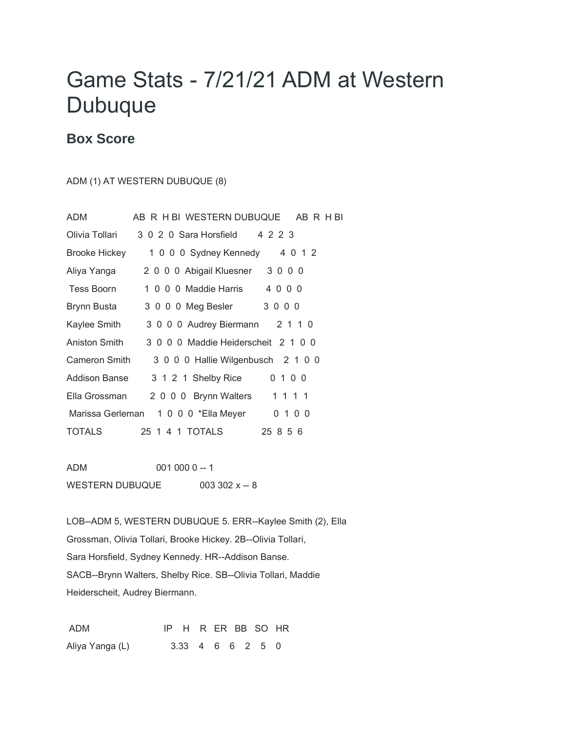## Game Stats - 7/21/21 ADM at Western **Dubuque**

## **Box Score**

ADM (1) AT WESTERN DUBUQUE (8)

| ADM                  | AB R H BI WESTERN DUBUQUE<br>ABRHBI |  |
|----------------------|-------------------------------------|--|
| Olivia Tollari       | 3 0 2 0 Sara Horsfield<br>4 2 2 3   |  |
| <b>Brooke Hickey</b> | 1 0 0 0 Sydney Kennedy 4 0 1 2      |  |
| Aliya Yanga          | 2 0 0 0 Abigail Kluesner 3 0 0 0    |  |
| Tess Boorn           | 1 0 0 0 Maddie Harris 4 0 0 0       |  |
| Brynn Busta          | 3 0 0 0 Meg Besler<br>3000          |  |
| Kaylee Smith         | 3 0 0 0 Audrey Biermann 2 1 1 0     |  |
| Aniston Smith        | 3 0 0 0 Maddie Heiderscheit 2 1 0 0 |  |
| Cameron Smith        | 3 0 0 0 Hallie Wilgenbusch 2 1 0 0  |  |
| Addison Banse        | 3 1 2 1 Shelby Rice<br>0 1 0 0      |  |
| Ella Grossman        | 1 1 1 1<br>2 0 0 0 Brynn Walters    |  |
| Marissa Gerleman     | 1 0 0 0 *Ella Meyer<br>0 1 0 0      |  |
| TOTALS               | 25 8 5 6                            |  |

ADM 001 000 0 -- 1 WESTERN DUBUQUE  $003302 \times -8$ 

LOB--ADM 5, WESTERN DUBUQUE 5. ERR--Kaylee Smith (2), Ella Grossman, Olivia Tollari, Brooke Hickey. 2B--Olivia Tollari, Sara Horsfield, Sydney Kennedy. HR--Addison Banse. SACB--Brynn Walters, Shelby Rice. SB--Olivia Tollari, Maddie Heiderscheit, Audrey Biermann.

ADM IP H R ER BB SO HR Aliya Yanga (L) 3.33 4 6 6 2 5 0